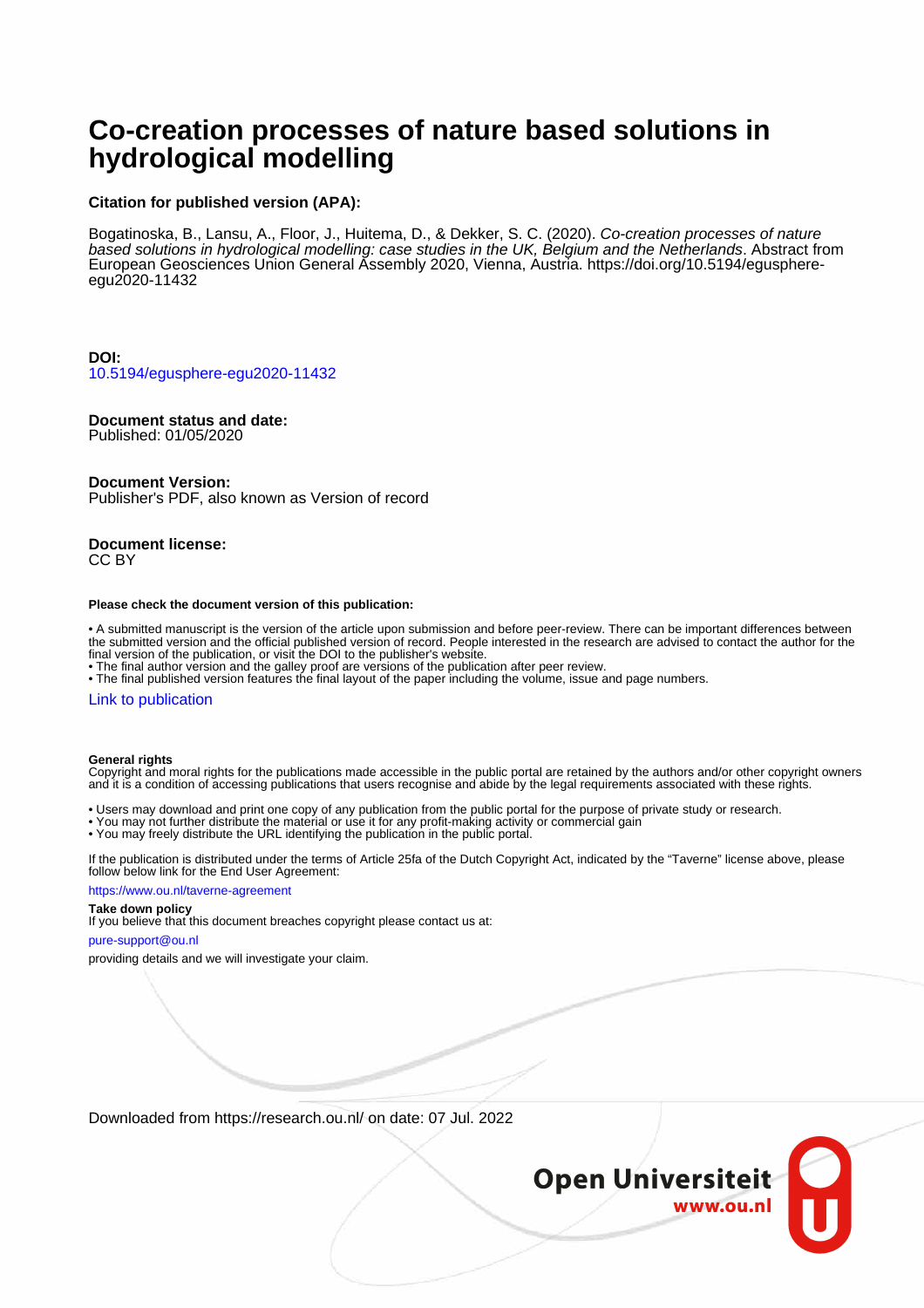# **Co-creation processes of nature based solutions in hydrological modelling**

## **Citation for published version (APA):**

Bogatinoska, B., Lansu, A., Floor, J., Huitema, D., & Dekker, S. C. (2020). Co-creation processes of nature based solutions in hydrological modelling: case studies in the UK, Belgium and the Netherlands. Abstract from European Geosciences Union General Assembly 2020, Vienna, Austria. [https://doi.org/10.5194/egusphere](https://doi.org/10.5194/egusphere-egu2020-11432)[egu2020-11432](https://doi.org/10.5194/egusphere-egu2020-11432)

**DOI:** [10.5194/egusphere-egu2020-11432](https://doi.org/10.5194/egusphere-egu2020-11432)

### **Document status and date:**

Published: 01/05/2020

#### **Document Version:**

Publisher's PDF, also known as Version of record

#### **Document license:** CC BY

#### **Please check the document version of this publication:**

• A submitted manuscript is the version of the article upon submission and before peer-review. There can be important differences between the submitted version and the official published version of record. People interested in the research are advised to contact the author for the final version of the publication, or visit the DOI to the publisher's website.

• The final author version and the galley proof are versions of the publication after peer review.

• The final published version features the final layout of the paper including the volume, issue and page numbers.

#### [Link to publication](https://research.ou.nl/en/publications/8e74a813-5b7b-429b-9541-54cf3084fc5a)

#### **General rights**

Copyright and moral rights for the publications made accessible in the public portal are retained by the authors and/or other copyright owners and it is a condition of accessing publications that users recognise and abide by the legal requirements associated with these rights.

- Users may download and print one copy of any publication from the public portal for the purpose of private study or research.
- You may not further distribute the material or use it for any profit-making activity or commercial gain
- You may freely distribute the URL identifying the publication in the public portal.

If the publication is distributed under the terms of Article 25fa of the Dutch Copyright Act, indicated by the "Taverne" license above, please follow below link for the End User Agreement:

#### https://www.ou.nl/taverne-agreement

## **Take down policy**

If you believe that this document breaches copyright please contact us at:

#### pure-support@ou.nl

providing details and we will investigate your claim.

Downloaded from https://research.ou.nl/ on date: 07 Jul. 2022